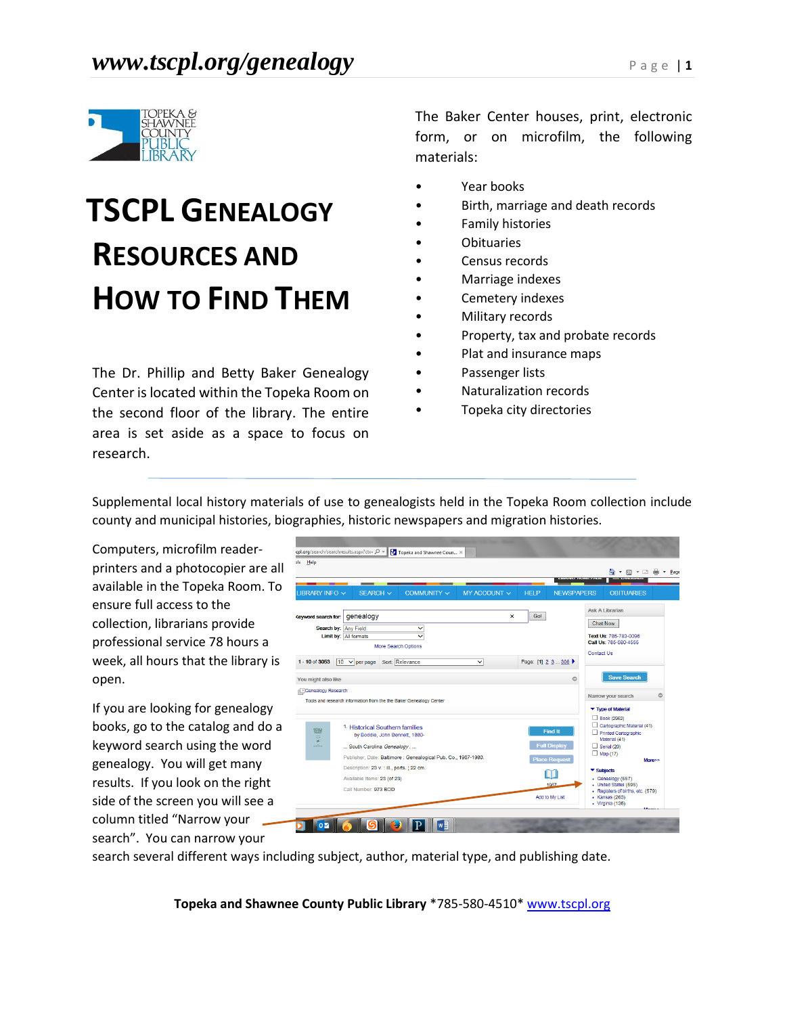

# **TSCPL GENEALOGY RESOURCES AND HOW TO FIND THEM**

The Dr. Phillip and Betty Baker Genealogy Center is located within the Topeka Room on the second floor of the library. The entire area is set aside as a space to focus on research.

The Baker Center houses, print, electronic form, or on microfilm, the following materials:

- Year books
- Birth, marriage and death records
- Family histories
- **Obituaries**
- Census records
- Marriage indexes
- Cemetery indexes
- Military records
- Property, tax and probate records
- Plat and insurance maps
- Passenger lists
- Naturalization records
- Topeka city directories

Supplemental local history materials of use to genealogists held in the Topeka Room collection include county and municipal histories, biographies, historic newspapers and migration histories.

Computers, microfilm readerprinters and a photocopier are all available in the Topeka Room. To ensure full access to the collection, librarians provide professional service 78 hours a week, all hours that the library is open.

If you are looking for genealogy books, go to the catalog and do a keyword search using the word genealogy. You will get many results. If you look on the right side of the screen you will see a column titled "Narrow your search". You can narrow your

| Help                                                                                                                                                                                                                                                                                               |                                                                                                                                                                                                                                   |             |                   |             |                                 | 合<br>同工事<br>$\overline{\phantom{a}}$<br><b>LAWOUANTE</b><br><b><i><u>INVINCE FANDE</u></i></b>                                            |
|----------------------------------------------------------------------------------------------------------------------------------------------------------------------------------------------------------------------------------------------------------------------------------------------------|-----------------------------------------------------------------------------------------------------------------------------------------------------------------------------------------------------------------------------------|-------------|-------------------|-------------|---------------------------------|-------------------------------------------------------------------------------------------------------------------------------------------|
| LIBRARY INFO V                                                                                                                                                                                                                                                                                     | $-$<br>SEARCH V                                                                                                                                                                                                                   | COMMUNITY V | MY ACCOUNT $\sim$ | <b>HELP</b> | <b>NEWSPAPERS</b>               | <b>OBITUARIES</b>                                                                                                                         |
| <b>Ceyword search for:</b>                                                                                                                                                                                                                                                                         | genealogy                                                                                                                                                                                                                         |             |                   | Go!         |                                 | Ask A Librarian                                                                                                                           |
| Search by: Any Field<br>v<br>Limit by: All formats<br>More Search Options<br>Sort: Relevance<br>$1 - 10$ of 3053<br>$10 \sqrt{p}$ per page<br>$\checkmark$<br>Page: [1] 2 3  306 ▶<br>You might also like<br><b>Research</b><br>Tools and research information from the the Baker Genealogy Center |                                                                                                                                                                                                                                   |             |                   |             |                                 | <b>Chat Now</b><br>Text Us: 785-783-0096<br>Call Us: 785-580-4555<br>Contact Us                                                           |
|                                                                                                                                                                                                                                                                                                    |                                                                                                                                                                                                                                   |             |                   |             | $\bigcirc$                      | <b>Save Search</b><br>$\circ$<br>Narrow your search<br>▼ Type of Material                                                                 |
| ASTORIAL<br>$=$<br>÷<br>سندب                                                                                                                                                                                                                                                                       | 1. Historical Southern families<br><b>Find It</b><br>by Boddie, John Bennett, 1880-<br><b>Full Display</b><br>South Carolina Genealogy.<br>Publisher, Date: Baltimore : Genealogical Pub. Co., 1967-1980.<br><b>Place Request</b> |             |                   |             |                                 | Book (2962)<br>Cartographic Material (41)<br>Printed Cartographic<br>Material (41)<br>$\Box$ Serial (20)<br>Map(17)<br>More>>             |
|                                                                                                                                                                                                                                                                                                    | Description: 23 v. : ill., ports. : 22 cm.<br>Available Items: 23 (of 23)<br>Call Number: 973 BOD                                                                                                                                 |             |                   |             | 1 T I<br>1967<br>Add to My List | $\blacktriangleright$ Subjects<br>• Genealogy (657)<br>• United States (595)<br>• Registers of births, etc. (579)<br>$\cdot$ Kansas (263) |

search several different ways including subject, author, material type, and publishing date.

**Topeka and Shawnee County Public Library** \*785-580-4510\* [www.tscpl.org](http://www.tscpl.org/)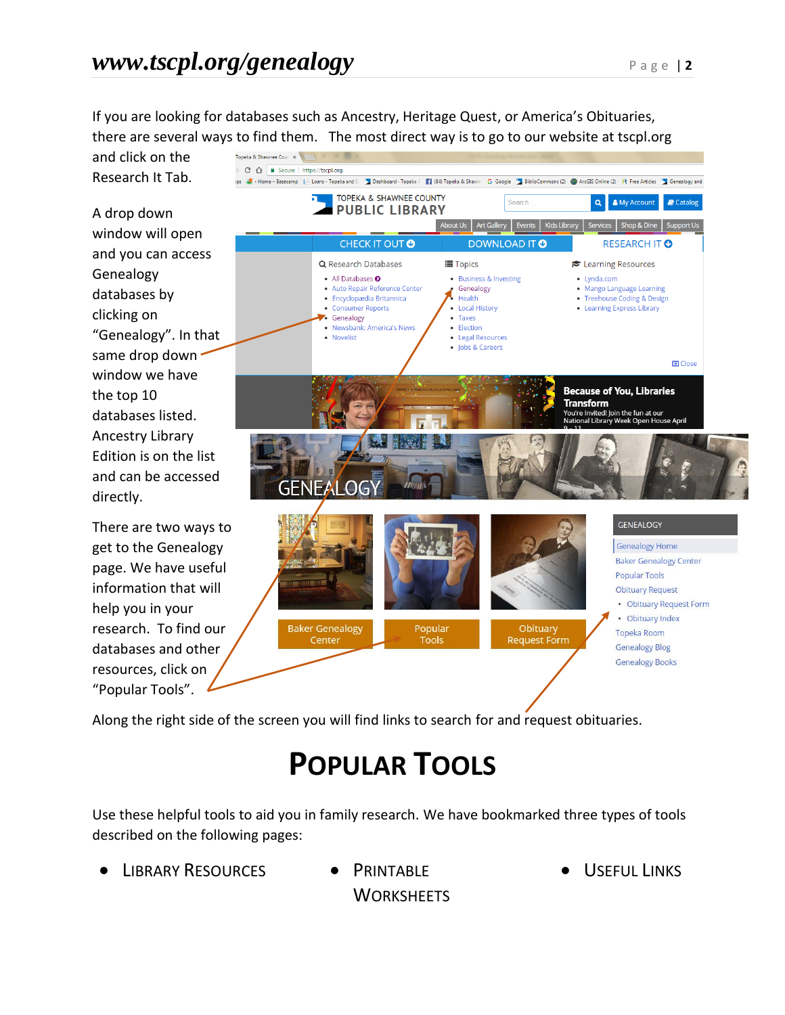If you are looking for databases such as Ancestry, Heritage Quest, or America's Obituaries, there are several ways to find them. The most direct way is to go to our website at tscpl.org

and click on the Research It Tab.

A drop down window will open and you can access Genealogy databases by clicking on "Genealogy". In that same drop down window we have the top 10 databases listed. Ancestry Library Edition is on the list and can be accessed directly.

There are two ways to get to the Genealogy page. We have useful information that will help you in your research. To find our databases and other resources, click on "Popular Tools".



Along the right side of the screen you will find links to search for and request obituaries.

## **POPULAR TOOLS**

Use these helpful tools to aid you in family research. We have bookmarked three types of tools described on the following pages:

- LIBRARY RESOURCES . PRINTABLE
- **WORKSHEETS**

USEFUL LINKS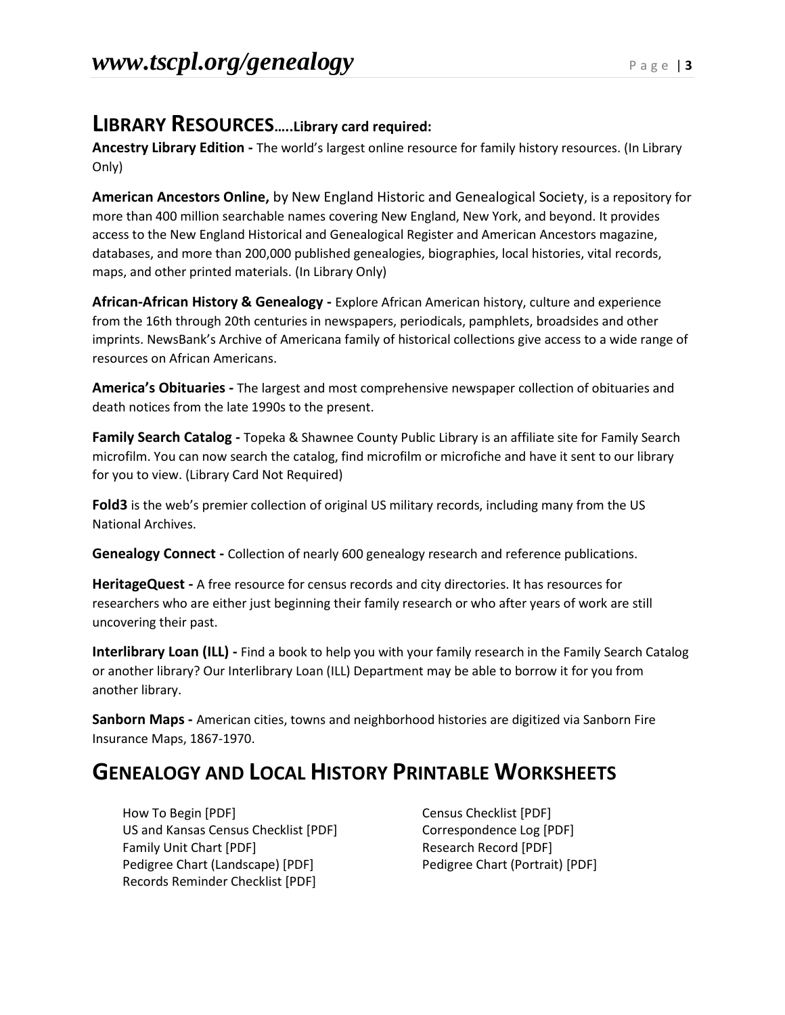#### **LIBRARY RESOURCES…..Library card required:**

**Ancestry Library Edition -** The world's largest online resource for family history resources. (In Library Only)

**American Ancestors Online,** by New England Historic and Genealogical Society, is a repository for more than 400 million searchable names covering New England, New York, and beyond. It provides access to the New England Historical and Genealogical Register and American Ancestors magazine, databases, and more than 200,000 published genealogies, biographies, local histories, vital records, maps, and other printed materials. (In Library Only)

**African-African History & Genealogy -** Explore African American history, culture and experience from the 16th through 20th centuries in newspapers, periodicals, pamphlets, broadsides and other imprints. NewsBank's Archive of Americana family of historical collections give access to a wide range of resources on African Americans.

**America's Obituaries -** The largest and most comprehensive newspaper collection of obituaries and death notices from the late 1990s to the present.

**Family Search Catalog -** Topeka & Shawnee County Public Library is an affiliate site for Family Search microfilm. You can now search the catalog, find microfilm or microfiche and have it sent to our library for you to view. (Library Card Not Required)

**Fold3** is the web's premier collection of original US military records, including many from the US National Archives.

**Genealogy Connect -** Collection of nearly 600 genealogy research and reference publications.

**HeritageQuest -** A free resource for census records and city directories. It has resources for researchers who are either just beginning their family research or who after years of work are still uncovering their past.

**Interlibrary Loan (ILL) -** Find a book to help you with your family research in the Family Search Catalog or another library? Our Interlibrary Loan (ILL) Department may be able to borrow it for you from another library.

**Sanborn Maps -** American cities, towns and neighborhood histories are digitized via Sanborn Fire Insurance Maps, 1867-1970.

### **GENEALOGY AND LOCAL HISTORY PRINTABLE WORKSHEETS**

How To Begin [PDF] The Census Checklist [PDF] US and Kansas Census Checklist [PDF] Correspondence Log [PDF] Family Unit Chart [PDF] Family Unit Chart [PDF] Pedigree Chart (Landscape) [PDF] Pedigree Chart (Portrait) [PDF] Records Reminder Checklist [PDF]